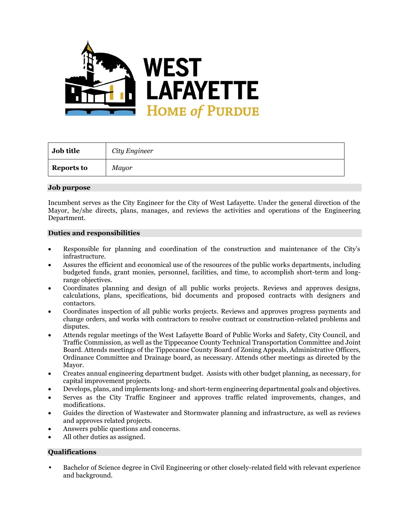

| <b>Job title</b>  | City Engineer |
|-------------------|---------------|
| <b>Reports to</b> | Mayor         |

#### **Job purpose**

Incumbent serves as the City Engineer for the City of West Lafayette. Under the general direction of the Mayor, he/she directs, plans, manages, and reviews the activities and operations of the Engineering Department.

## **Duties and responsibilities**

- Responsible for planning and coordination of the construction and maintenance of the City's infrastructure.
- Assures the efficient and economical use of the resources of the public works departments, including budgeted funds, grant monies, personnel, facilities, and time, to accomplish short-term and longrange objectives.
- Coordinates planning and design of all public works projects. Reviews and approves designs, calculations, plans, specifications, bid documents and proposed contracts with designers and contactors.
- Coordinates inspection of all public works projects. Reviews and approves progress payments and change orders, and works with contractors to resolve contract or construction-related problems and disputes.
- Attends regular meetings of the West Lafayette Board of Public Works and Safety, City Council, and Traffic Commission, as well as the Tippecanoe County Technical Transportation Committee and Joint Board. Attends meetings of the Tippecanoe County Board of Zoning Appeals, Administrative Officers, Ordinance Committee and Drainage board, as necessary. Attends other meetings as directed by the Mayor.
- Creates annual engineering department budget. Assists with other budget planning, as necessary, for capital improvement projects.
- Develops, plans, and implements long- and short-term engineering departmental goals and objectives.
- Serves as the City Traffic Engineer and approves traffic related improvements, changes, and modifications.
- Guides the direction of Wastewater and Stormwater planning and infrastructure, as well as reviews and approves related projects.
- Answers public questions and concerns.
- All other duties as assigned.

# **Qualifications**

• Bachelor of Science degree in Civil Engineering or other closely-related field with relevant experience and background.